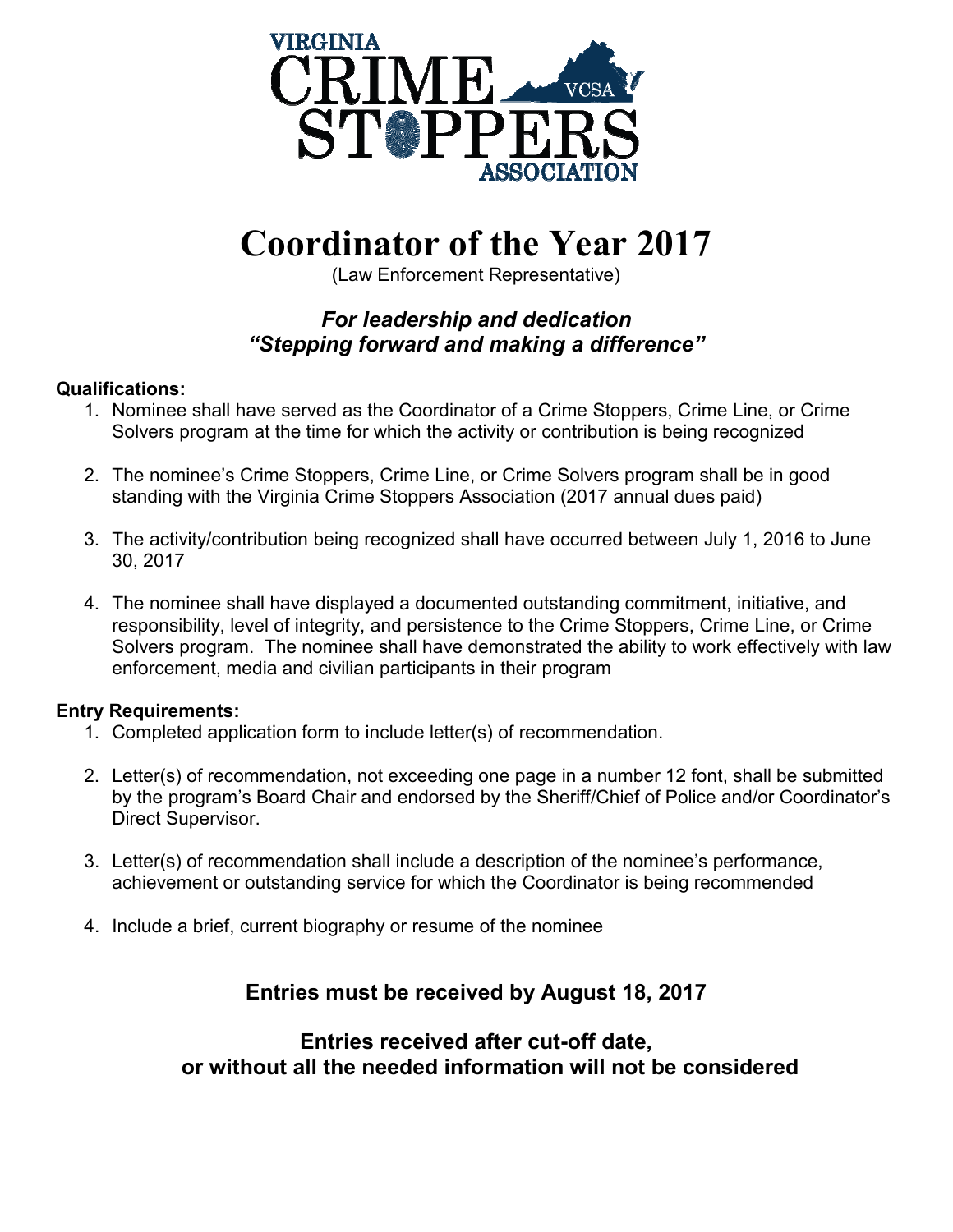

## **Coordinator of the Year 2017**

(Law Enforcement Representative)

### *For leadership and dedication "Stepping forward and making a difference"*

#### **Qualifications:**

- 1. Nominee shall have served as the Coordinator of a Crime Stoppers, Crime Line, or Crime Solvers program at the time for which the activity or contribution is being recognized
- 2. The nominee's Crime Stoppers, Crime Line, or Crime Solvers program shall be in good standing with the Virginia Crime Stoppers Association (2017 annual dues paid)
- 3. The activity/contribution being recognized shall have occurred between July 1, 2016 to June 30, 2017
- 4. The nominee shall have displayed a documented outstanding commitment, initiative, and responsibility, level of integrity, and persistence to the Crime Stoppers, Crime Line, or Crime Solvers program. The nominee shall have demonstrated the ability to work effectively with law enforcement, media and civilian participants in their program

#### **Entry Requirements:**

- 1. Completed application form to include letter(s) of recommendation.
- 2. Letter(s) of recommendation, not exceeding one page in a number 12 font, shall be submitted by the program's Board Chair and endorsed by the Sheriff/Chief of Police and/or Coordinator's Direct Supervisor.
- 3. Letter(s) of recommendation shall include a description of the nominee's performance, achievement or outstanding service for which the Coordinator is being recommended
- 4. Include a brief, current biography or resume of the nominee

## **Entries must be received by August 18, 2017**

**Entries received after cut-off date, or without all the needed information will not be considered**